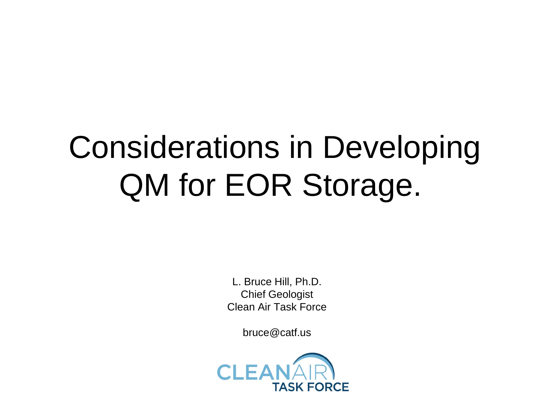# Considerations in Developing QM for EOR Storage.

L. Bruce Hill, Ph.D. Chief Geologist Clean Air Task Force

bruce@catf.us

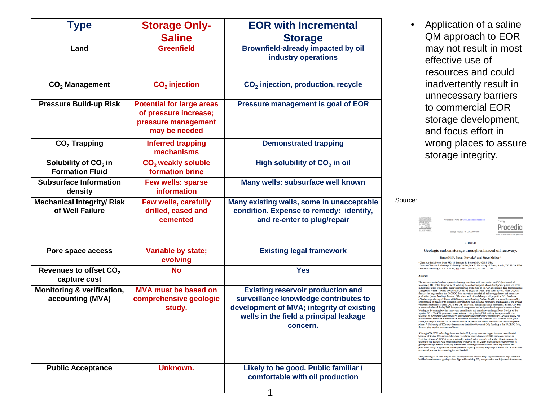| <b>Type</b>                                               | <b>Storage Only-</b><br><b>Saline</b>                                                             | <b>EOR with Incremental</b><br><b>Storage</b>                                                                                                                                        |
|-----------------------------------------------------------|---------------------------------------------------------------------------------------------------|--------------------------------------------------------------------------------------------------------------------------------------------------------------------------------------|
| Land                                                      | <b>Greenfield</b>                                                                                 | <b>Brownfield-already impacted by oil</b><br>industry operations                                                                                                                     |
| $CO2$ Management                                          | CO <sub>2</sub> injection                                                                         | CO <sub>2</sub> injection, production, recycle                                                                                                                                       |
| <b>Pressure Build-up Risk</b>                             | <b>Potential for large areas</b><br>of pressure increase;<br>pressure management<br>may be needed | <b>Pressure management is goal of EOR</b>                                                                                                                                            |
| $CO2$ Trapping                                            | <b>Inferred trapping</b><br>mechanisms                                                            | <b>Demonstrated trapping</b>                                                                                                                                                         |
| Solubility of $CO2$ in<br><b>Formation Fluid</b>          | CO <sub>2</sub> weakly soluble<br>formation brine                                                 | High solubility of CO <sub>2</sub> in oil                                                                                                                                            |
| <b>Subsurface Information</b><br>density                  | <b>Few wells: sparse</b><br>information                                                           | Many wells: subsurface well known                                                                                                                                                    |
| <b>Mechanical Integrity/ Risk</b><br>of Well Failure      | <b>Few wells, carefully</b><br>drilled, cased and<br>cemented                                     | Many existing wells, some in unacceptable<br>condition. Expense to remedy: identify,<br>and re-enter to plug/repair                                                                  |
| Pore space access                                         | <b>Variable by state;</b><br>evolving                                                             | <b>Existing legal framework</b>                                                                                                                                                      |
| Revenues to offset CO <sub>2</sub><br>capture cost        | <b>No</b>                                                                                         | <b>Yes</b>                                                                                                                                                                           |
| <b>Monitoring &amp; verification,</b><br>accounting (MVA) | <b>MVA must be based on</b><br>comprehensive geologic<br>study.                                   | <b>Existing reservoir production and</b><br>surveillance knowledge contributes to<br>development of MVA; integrity of existing<br>wells in the field a principal leakage<br>concern. |
| <b>Public Acceptance</b>                                  | Unknown.                                                                                          | Likely to be good. Public familiar /<br>comfortable with oil production                                                                                                              |

Application of a saline QM approach to EOR may not result in most effective use of resources and could inadvertently result in unnecessary barriers to commercial EOR storage development, and focus effort in wrong places to assure storage integrity.

Source:

Available online at www.science Energy Procedia **ELSEVIER** Energy Procedia 00 (2013) 000-000

GHGT-11

Geologic carbon storage through enhanced oil recovery.

Bruce Hill<sup>2</sup>, Susan Hovorka<sup>b</sup> and Steve Melzer.<sup>c</sup>

\*Clean Air Task Force, Suite 530, 18 Tremont St, Boston MA, 02108, USA<br>\* Bureau of Economic Geology, University Station, Box X, University of Texas, Austin, TX 78713, USA<br>\* Meizer Consulting, 415 W Wall St., Stg. 1106 -, M

Abstrac

To the subsect of carbon capture technology combined with carbon dioxide (CO<sub>2</sub>) enhanced oil<br>recovery (EOR) holds the promise of reducing the carbon footprint of coal-fired power plants and other<br>industrial sources, whil

Although CO<sub>2</sub> EOR technology is mature in the U.S., many reservoir targets have not been flooded because of limited CO<sub>2</sub> supply. Moreover, very large newly discovered EOR resources, known as "residual oil zones" (RO23)

Many existing EOR sites may be ideal for sequestration because they: 1) provide known traps that have held hydrocarbons over geologic time, 2) provide existing CO<sub>2</sub> transportation and injection infrastructu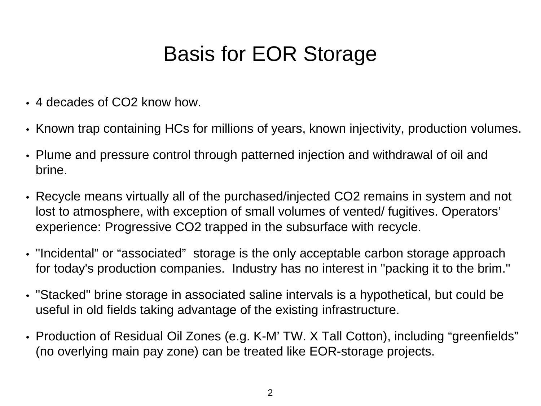### Basis for EOR Storage

- 4 decades of CO2 know how.
- Known trap containing HCs for millions of years, known injectivity, production volumes.
- Plume and pressure control through patterned injection and withdrawal of oil and brine.
- Recycle means virtually all of the purchased/injected CO2 remains in system and not lost to atmosphere, with exception of small volumes of vented/ fugitives. Operators' experience: Progressive CO2 trapped in the subsurface with recycle.
- "Incidental" or "associated" storage is the only acceptable carbon storage approach for today's production companies. Industry has no interest in "packing it to the brim."
- "Stacked" brine storage in associated saline intervals is a hypothetical, but could be useful in old fields taking advantage of the existing infrastructure.
- Production of Residual Oil Zones (e.g. K-M' TW. X Tall Cotton), including "greenfields" (no overlying main pay zone) can be treated like EOR-storage projects.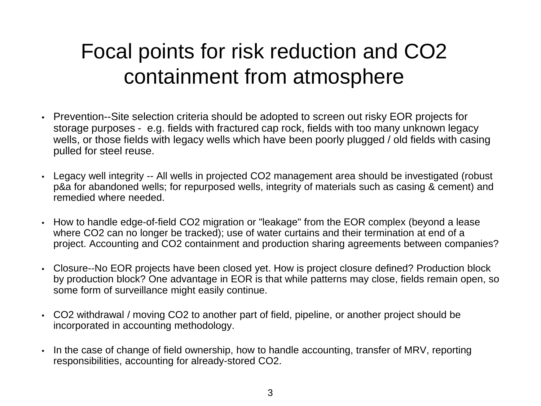#### Focal points for risk reduction and CO2 containment from atmosphere

- Prevention--Site selection criteria should be adopted to screen out risky EOR projects for storage purposes - e.g. fields with fractured cap rock, fields with too many unknown legacy wells, or those fields with legacy wells which have been poorly plugged / old fields with casing pulled for steel reuse.
- Legacy well integrity -- All wells in projected CO2 management area should be investigated (robust p&a for abandoned wells; for repurposed wells, integrity of materials such as casing & cement) and remedied where needed.
- How to handle edge-of-field CO2 migration or "leakage" from the EOR complex (beyond a lease where CO2 can no longer be tracked); use of water curtains and their termination at end of a project. Accounting and CO2 containment and production sharing agreements between companies?
- Closure--No EOR projects have been closed yet. How is project closure defined? Production block by production block? One advantage in EOR is that while patterns may close, fields remain open, so some form of surveillance might easily continue.
- CO2 withdrawal / moving CO2 to another part of field, pipeline, or another project should be incorporated in accounting methodology.
- In the case of change of field ownership, how to handle accounting, transfer of MRV, reporting responsibilities, accounting for already-stored CO2.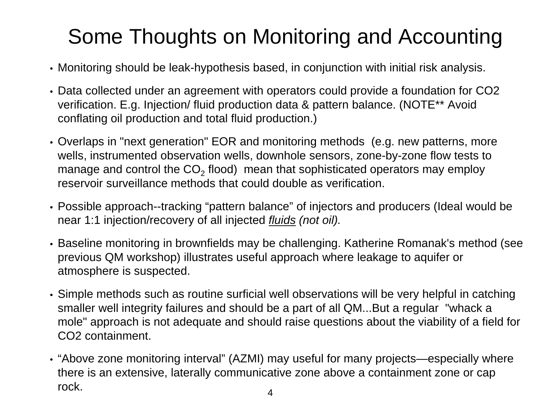# Some Thoughts on Monitoring and Accounting

- Monitoring should be leak-hypothesis based, in conjunction with initial risk analysis.
- Data collected under an agreement with operators could provide a foundation for CO2 verification. E.g. Injection/ fluid production data & pattern balance. (NOTE\*\* Avoid conflating oil production and total fluid production.)
- Overlaps in "next generation" EOR and monitoring methods (e.g. new patterns, more wells, instrumented observation wells, downhole sensors, zone-by-zone flow tests to manage and control the  $CO<sub>2</sub>$  flood) mean that sophisticated operators may employ reservoir surveillance methods that could double as verification.
- Possible approach--tracking "pattern balance" of injectors and producers (Ideal would be near 1:1 injection/recovery of all injected *fluids (not oil).*
- Baseline monitoring in brownfields may be challenging. Katherine Romanak's method (see previous QM workshop) illustrates useful approach where leakage to aquifer or atmosphere is suspected.
- Simple methods such as routine surficial well observations will be very helpful in catching smaller well integrity failures and should be a part of all QM...But a regular "whack a mole" approach is not adequate and should raise questions about the viability of a field for CO2 containment.
- "Above zone monitoring interval" (AZMI) may useful for many projects—especially where there is an extensive, laterally communicative zone above a containment zone or cap rock. 4